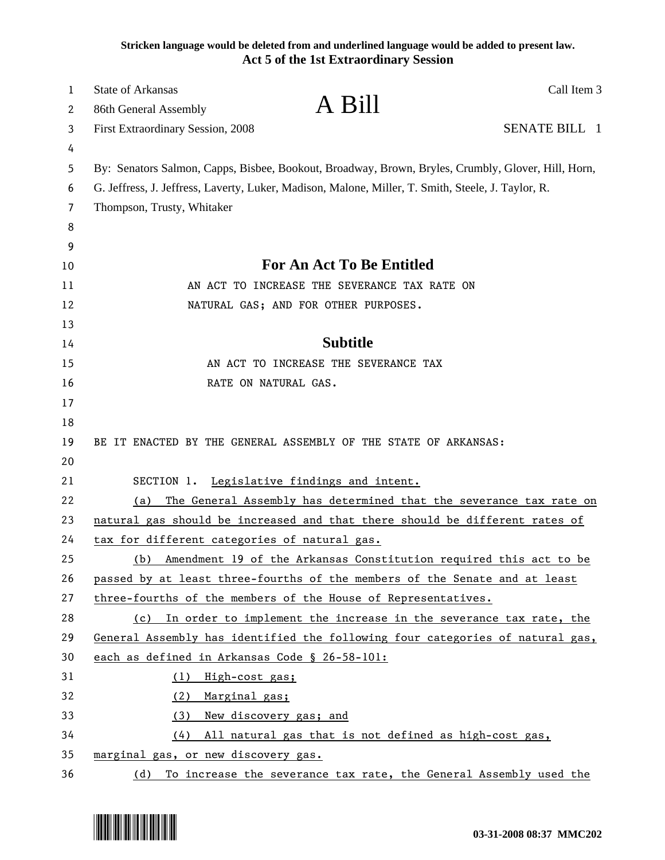**Stricken language would be deleted from and underlined language would be added to present law. Act 5 of the 1st Extraordinary Session**

| 1<br>2 | Call Item 3<br><b>State of Arkansas</b><br>A Bill<br>86th General Assembly                         |  |
|--------|----------------------------------------------------------------------------------------------------|--|
| 3      | SENATE BILL 1<br><b>First Extraordinary Session, 2008</b>                                          |  |
| 4      |                                                                                                    |  |
| 5      | By: Senators Salmon, Capps, Bisbee, Bookout, Broadway, Brown, Bryles, Crumbly, Glover, Hill, Horn, |  |
| 6      | G. Jeffress, J. Jeffress, Laverty, Luker, Madison, Malone, Miller, T. Smith, Steele, J. Taylor, R. |  |
| 7      | Thompson, Trusty, Whitaker                                                                         |  |
| 8      |                                                                                                    |  |
| 9      |                                                                                                    |  |
| 10     | For An Act To Be Entitled                                                                          |  |
| 11     | AN ACT TO INCREASE THE SEVERANCE TAX RATE ON                                                       |  |
| 12     | NATURAL GAS; AND FOR OTHER PURPOSES.                                                               |  |
| 13     |                                                                                                    |  |
| 14     | <b>Subtitle</b>                                                                                    |  |
| 15     | AN ACT TO INCREASE THE SEVERANCE TAX                                                               |  |
| 16     | RATE ON NATURAL GAS.                                                                               |  |
| 17     |                                                                                                    |  |
| 18     |                                                                                                    |  |
| 19     | BE IT ENACTED BY THE GENERAL ASSEMBLY OF THE STATE OF ARKANSAS:                                    |  |
| 20     |                                                                                                    |  |
| 21     | SECTION 1. Legislative findings and intent.                                                        |  |
| 22     | The General Assembly has determined that the severance tax rate on<br>(a)                          |  |
| 23     | natural gas should be increased and that there should be different rates of                        |  |
| 24     | tax for different categories of natural gas.                                                       |  |
| 25     | Amendment 19 of the Arkansas Constitution required this act to be<br>(b)                           |  |
| 26     | passed by at least three-fourths of the members of the Senate and at least                         |  |
| 27     | three-fourths of the members of the House of Representatives.                                      |  |
| 28     | In order to implement the increase in the severance tax rate, the<br>(c)                           |  |
| 29     | General Assembly has identified the following four categories of natural gas,                      |  |
| 30     | each as defined in Arkansas Code § 26-58-101:                                                      |  |
| 31     | (1) High-cost gas;                                                                                 |  |
| 32     | (2) Marginal gas;                                                                                  |  |
| 33     | (3)<br>New discovery gas; and                                                                      |  |
| 34     | All natural gas that is not defined as high-cost gas,<br>(4)                                       |  |
| 35     | marginal gas, or new discovery gas.                                                                |  |
| 36     | To increase the severance tax rate, the General Assembly used the<br>(d)                           |  |

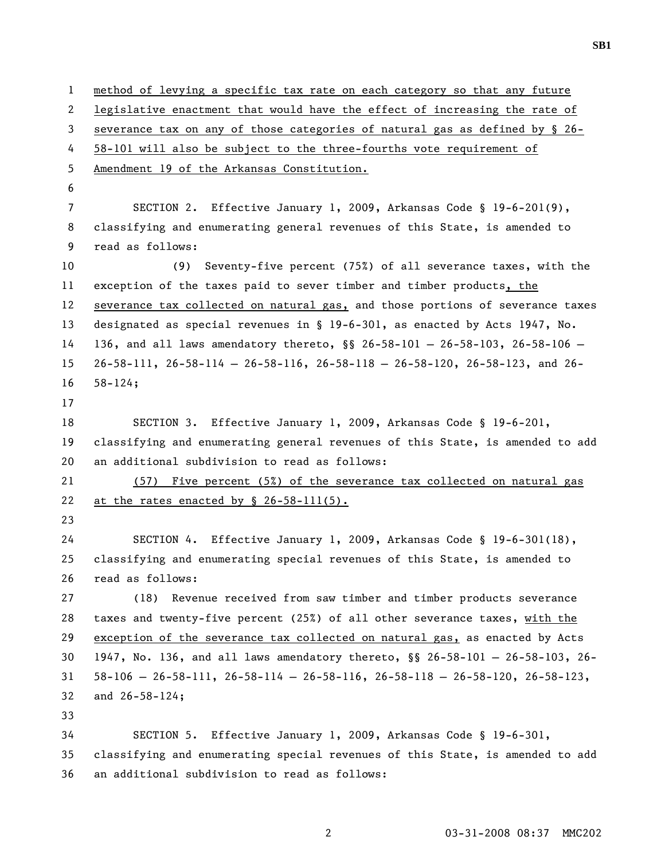1 method of levying a specific tax rate on each category so that any future 2 legislative enactment that would have the effect of increasing the rate of 3 severance tax on any of those categories of natural gas as defined by § 26- 4 58-101 will also be subject to the three-fourths vote requirement of 5 Amendment 19 of the Arkansas Constitution. 6 7 SECTION 2. Effective January 1, 2009, Arkansas Code § 19-6-201(9), 8 classifying and enumerating general revenues of this State, is amended to 9 read as follows: 10 (9) Seventy-five percent (75%) of all severance taxes, with the 11 exception of the taxes paid to sever timber and timber products, the 12 severance tax collected on natural gas, and those portions of severance taxes 13 designated as special revenues in § 19-6-301, as enacted by Acts 1947, No. 14 136, and all laws amendatory thereto, §§ 26-58-101 — 26-58-103, 26-58-106 — 15 26-58-111, 26-58-114 — 26-58-116, 26-58-118 — 26-58-120, 26-58-123, and 26- 16 58-124; 17 18 SECTION 3. Effective January 1, 2009, Arkansas Code § 19-6-201, 19 classifying and enumerating general revenues of this State, is amended to add 20 an additional subdivision to read as follows: 21 (57) Five percent (5%) of the severance tax collected on natural gas 22 at the rates enacted by  $$ 26-58-111(5)$ . 23 24 SECTION 4. Effective January 1, 2009, Arkansas Code § 19-6-301(18), 25 classifying and enumerating special revenues of this State, is amended to 26 read as follows: 27 (18) Revenue received from saw timber and timber products severance 28 taxes and twenty-five percent (25%) of all other severance taxes, with the 29 exception of the severance tax collected on natural gas, as enacted by Acts 30 1947, No. 136, and all laws amendatory thereto, §§ 26-58-101 — 26-58-103, 26- 31 58-106 — 26-58-111, 26-58-114 — 26-58-116, 26-58-118 — 26-58-120, 26-58-123, 32 and 26-58-124; 33 34 SECTION 5. Effective January 1, 2009, Arkansas Code § 19-6-301, 35 classifying and enumerating special revenues of this State, is amended to add 36 an additional subdivision to read as follows: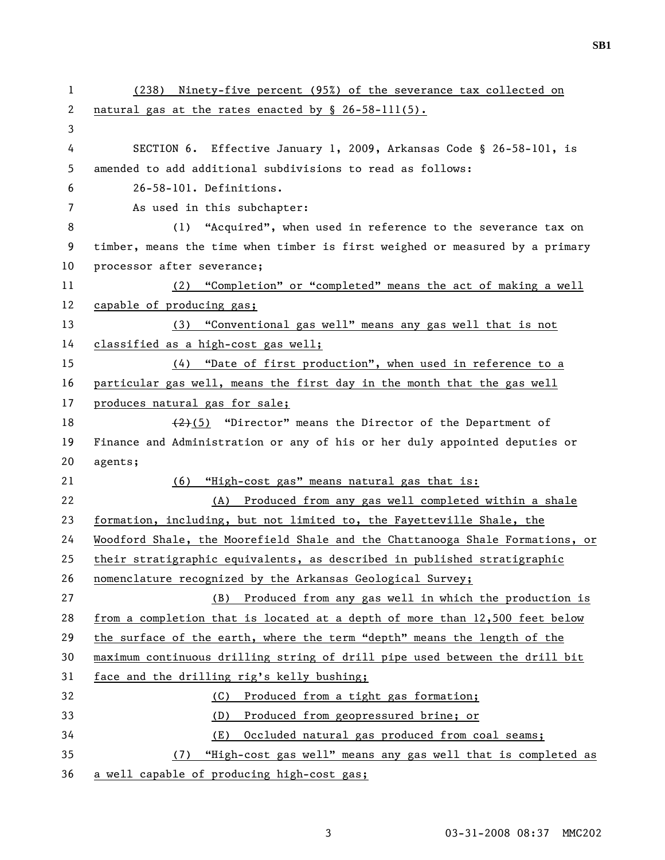| $\mathbf{1}$          | (238) Ninety-five percent (95%) of the severance tax collected on             |
|-----------------------|-------------------------------------------------------------------------------|
| $\mathbf{2}^{\prime}$ | natural gas at the rates enacted by § 26-58-111(5).                           |
| 3                     |                                                                               |
| 4                     | SECTION 6. Effective January 1, 2009, Arkansas Code § 26-58-101, is           |
| 5                     | amended to add additional subdivisions to read as follows:                    |
| 6                     | 26-58-101. Definitions.                                                       |
| 7                     | As used in this subchapter:                                                   |
| 8                     | "Acquired", when used in reference to the severance tax on<br>(1)             |
| 9                     | timber, means the time when timber is first weighed or measured by a primary  |
| 10                    | processor after severance;                                                    |
| 11                    | (2) "Completion" or "completed" means the act of making a well                |
| 12                    | capable of producing gas;                                                     |
| 13                    | (3) "Conventional gas well" means any gas well that is not                    |
| 14                    | classified as a high-cost gas well;                                           |
| 15                    | (4) "Date of first production", when used in reference to a                   |
| 16                    | particular gas well, means the first day in the month that the gas well       |
| 17                    | produces natural gas for sale;                                                |
| 18                    | $(2)(5)$ "Director" means the Director of the Department of                   |
| 19                    | Finance and Administration or any of his or her duly appointed deputies or    |
| 20                    | agents;                                                                       |
| 21                    | (6) "High-cost gas" means natural gas that is:                                |
| 22                    | (A) Produced from any gas well completed within a shale                       |
| 23                    | formation, including, but not limited to, the Fayetteville Shale, the         |
| 24                    | Woodford Shale, the Moorefield Shale and the Chattanooga Shale Formations, or |
| 25                    | their stratigraphic equivalents, as described in published stratigraphic      |
| 26                    | nomenclature recognized by the Arkansas Geological Survey;                    |
| 27                    | Produced from any gas well in which the production is<br>(B)                  |
| 28                    | from a completion that is located at a depth of more than 12,500 feet below   |
| 29                    | the surface of the earth, where the term "depth" means the length of the      |
| 30                    | maximum continuous drilling string of drill pipe used between the drill bit   |
| 31                    | face and the drilling rig's kelly bushing;                                    |
| 32                    | Produced from a tight gas formation;<br>(C)                                   |
| 33                    | (D)<br>Produced from geopressured brine; or                                   |
| 34                    | Occluded natural gas produced from coal seams;<br>(E)                         |
| 35                    | "High-cost gas well" means any gas well that is completed as<br>(7)           |
| 36                    | a well capable of producing high-cost gas;                                    |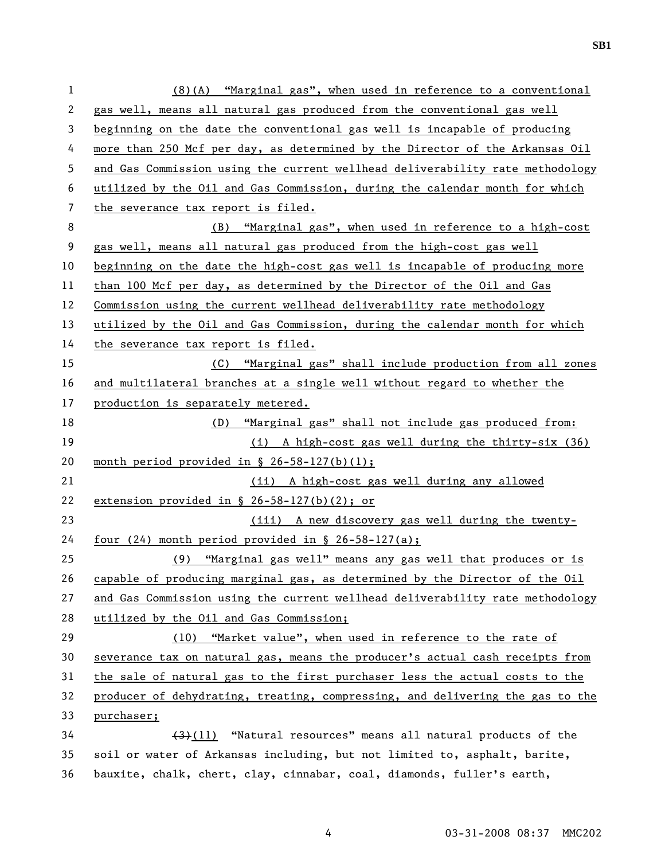1 (8)(A) "Marginal gas", when used in reference to a conventional 2 gas well, means all natural gas produced from the conventional gas well 3 beginning on the date the conventional gas well is incapable of producing 4 more than 250 Mcf per day, as determined by the Director of the Arkansas Oil 5 and Gas Commission using the current wellhead deliverability rate methodology 6 utilized by the Oil and Gas Commission, during the calendar month for which 7 the severance tax report is filed. 8 (B) "Marginal gas", when used in reference to a high-cost 9 gas well, means all natural gas produced from the high-cost gas well 10 beginning on the date the high-cost gas well is incapable of producing more 11 than 100 Mcf per day, as determined by the Director of the Oil and Gas 12 Commission using the current wellhead deliverability rate methodology 13 utilized by the Oil and Gas Commission, during the calendar month for which 14 the severance tax report is filed. 15 (C) "Marginal gas" shall include production from all zones 16 and multilateral branches at a single well without regard to whether the 17 production is separately metered. 18 (D) "Marginal gas" shall not include gas produced from: 19 (i) A high-cost gas well during the thirty-six (36) 20 month period provided in § 26-58-127(b)(1); 21 (ii) A high-cost gas well during any allowed 22 extension provided in § 26-58-127(b)(2); or 23 (iii) A new discovery gas well during the twenty-24 four (24) month period provided in § 26-58-127(a); 25 (9) "Marginal gas well" means any gas well that produces or is 26 capable of producing marginal gas, as determined by the Director of the Oil 27 and Gas Commission using the current wellhead deliverability rate methodology 28 utilized by the Oil and Gas Commission; 29 (10) "Market value", when used in reference to the rate of 30 severance tax on natural gas, means the producer's actual cash receipts from 31 the sale of natural gas to the first purchaser less the actual costs to the 32 producer of dehydrating, treating, compressing, and delivering the gas to the 33 purchaser;  $34$  (11) "Natural resources" means all natural products of the 35 soil or water of Arkansas including, but not limited to, asphalt, barite, 36 bauxite, chalk, chert, clay, cinnabar, coal, diamonds, fuller's earth,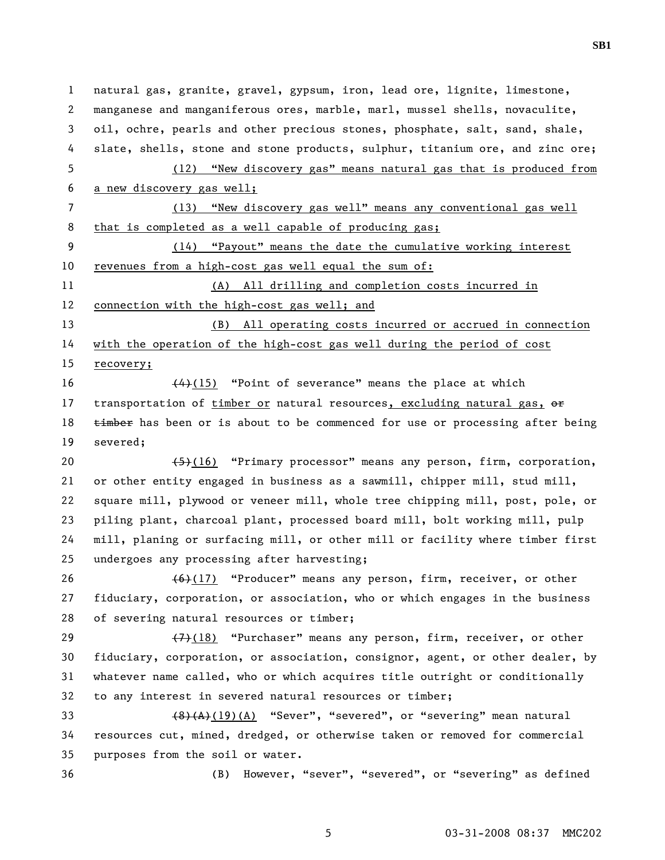1 natural gas, granite, gravel, gypsum, iron, lead ore, lignite, limestone, 2 manganese and manganiferous ores, marble, marl, mussel shells, novaculite, 3 oil, ochre, pearls and other precious stones, phosphate, salt, sand, shale, 4 slate, shells, stone and stone products, sulphur, titanium ore, and zinc ore; 5 (12) "New discovery gas" means natural gas that is produced from 6 a new discovery gas well; 7 (13) "New discovery gas well" means any conventional gas well 8 that is completed as a well capable of producing gas; 9 (14) "Payout" means the date the cumulative working interest 10 revenues from a high-cost gas well equal the sum of: 11 (A) All drilling and completion costs incurred in 12 connection with the high-cost gas well; and 13 (B) All operating costs incurred or accrued in connection 14 with the operation of the high-cost gas well during the period of cost 15 recovery; 16 (4)(15) "Point of severance" means the place at which 17 transportation of timber or natural resources, excluding natural gas,  $\theta$ 18  $t$  timber has been or is about to be commenced for use or processing after being 19 severed; 20  $\left(-\frac{5}{5}\right)(16)$  "Primary processor" means any person, firm, corporation, 21 or other entity engaged in business as a sawmill, chipper mill, stud mill, 22 square mill, plywood or veneer mill, whole tree chipping mill, post, pole, or 23 piling plant, charcoal plant, processed board mill, bolt working mill, pulp 24 mill, planing or surfacing mill, or other mill or facility where timber first 25 undergoes any processing after harvesting; 26 (6)(17) "Producer" means any person, firm, receiver, or other 27 fiduciary, corporation, or association, who or which engages in the business 28 of severing natural resources or timber; 29  $\left(7\right)$  (18) "Purchaser" means any person, firm, receiver, or other 30 fiduciary, corporation, or association, consignor, agent, or other dealer, by 31 whatever name called, who or which acquires title outright or conditionally 32 to any interest in severed natural resources or timber; 33 (8)(A)(19)(A) "Sever", "severed", or "severing" mean natural 34 resources cut, mined, dredged, or otherwise taken or removed for commercial 35 purposes from the soil or water. 36 (B) However, "sever", "severed", or "severing" as defined

**SB1**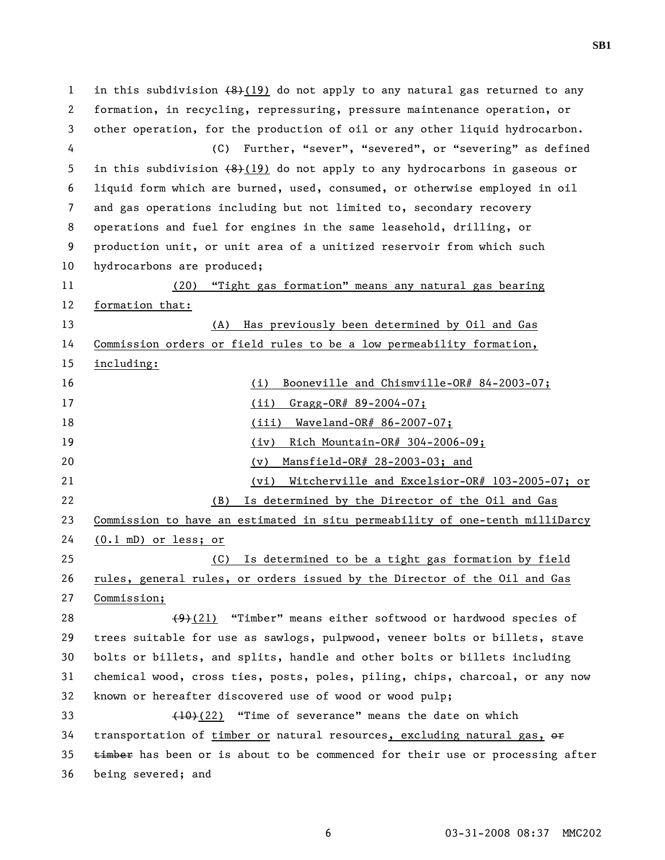1 in this subdivision  $(8)(19)$  do not apply to any natural gas returned to any 2 formation, in recycling, repressuring, pressure maintenance operation, or 3 other operation, for the production of oil or any other liquid hydrocarbon. 4 (C) Further, "sever", "severed", or "severing" as defined 5 in this subdivision  $(8)(19)$  do not apply to any hydrocarbons in gaseous or 6 liquid form which are burned, used, consumed, or otherwise employed in oil 7 and gas operations including but not limited to, secondary recovery 8 operations and fuel for engines in the same leasehold, drilling, or 9 production unit, or unit area of a unitized reservoir from which such 10 hydrocarbons are produced; 11 (20) "Tight gas formation" means any natural gas bearing 12 formation that: 13 (A) Has previously been determined by Oil and Gas 14 Commission orders or field rules to be a low permeability formation, 15 including: 16 (i) Booneville and Chismville-OR# 84-2003-07; 17 (ii) Gragg-OR# 89-2004-07; 18 (iii) Waveland-OR# 86-2007-07; 19 (iv) Rich Mountain-OR# 304-2006-09; 20 (v) Mansfield-OR# 28-2003-03; and 21 (vi) Witcherville and Excelsior-OR# 103-2005-07; or 22 (B) Is determined by the Director of the Oil and Gas 23 Commission to have an estimated in situ permeability of one-tenth milliDarcy 24 (0.1 mD) or less; or 25 (C) Is determined to be a tight gas formation by field 26 rules, general rules, or orders issued by the Director of the Oil and Gas 27 Commission; 28  $(9)(21)$  "Timber" means either softwood or hardwood species of 29 trees suitable for use as sawlogs, pulpwood, veneer bolts or billets, stave 30 bolts or billets, and splits, handle and other bolts or billets including 31 chemical wood, cross ties, posts, poles, piling, chips, charcoal, or any now 32 known or hereafter discovered use of wood or wood pulp; 33 (10)(22) "Time of severance" means the date on which 34 transportation of timber or natural resources, excluding natural gas,  $\theta$  $35$   $\overline{\text{timber}}$  has been or is about to be commenced for their use or processing after 36 being severed; and

6 03-31-2008 08:37 MMC202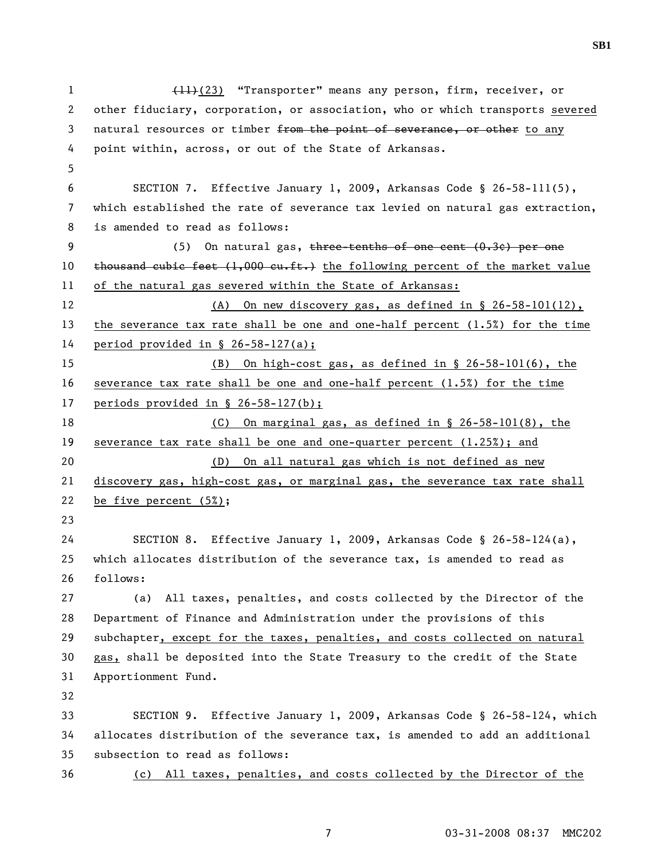1 (11)(23) "Transporter" means any person, firm, receiver, or 2 other fiduciary, corporation, or association, who or which transports severed 3 natural resources or timber from the point of severance, or other to any 4 point within, across, or out of the State of Arkansas. 5 6 SECTION 7. Effective January 1, 2009, Arkansas Code § 26-58-111(5), 7 which established the rate of severance tax levied on natural gas extraction, 8 is amended to read as follows: 9 (5) On natural gas, three-tenths of one cent (0.3¢) per one 10 thousand cubic feet  $(1,000 \text{ cut-fit.})$  the following percent of the market value 11 of the natural gas severed within the State of Arkansas: 12 (A) On new discovery gas, as defined in § 26-58-101(12), 13 the severance tax rate shall be one and one-half percent (1.5%) for the time 14 period provided in § 26-58-127(a); 15 (B) On high-cost gas, as defined in § 26-58-101(6), the 16 severance tax rate shall be one and one-half percent (1.5%) for the time 17 periods provided in § 26-58-127(b); 18 (C) On marginal gas, as defined in § 26-58-101(8), the 19 severance tax rate shall be one and one-quarter percent (1.25%); and 20 (D) On all natural gas which is not defined as new 21 discovery gas, high-cost gas, or marginal gas, the severance tax rate shall 22 be five percent (5%); 23 24 SECTION 8. Effective January 1, 2009, Arkansas Code § 26-58-124(a), 25 which allocates distribution of the severance tax, is amended to read as 26 follows: 27 (a) All taxes, penalties, and costs collected by the Director of the 28 Department of Finance and Administration under the provisions of this 29 subchapter, except for the taxes, penalties, and costs collected on natural 30 gas, shall be deposited into the State Treasury to the credit of the State 31 Apportionment Fund. 32 33 SECTION 9. Effective January 1, 2009, Arkansas Code § 26-58-124, which 34 allocates distribution of the severance tax, is amended to add an additional 35 subsection to read as follows: 36 (c) All taxes, penalties, and costs collected by the Director of the

**SB1** 

7 03-31-2008 08:37 MMC202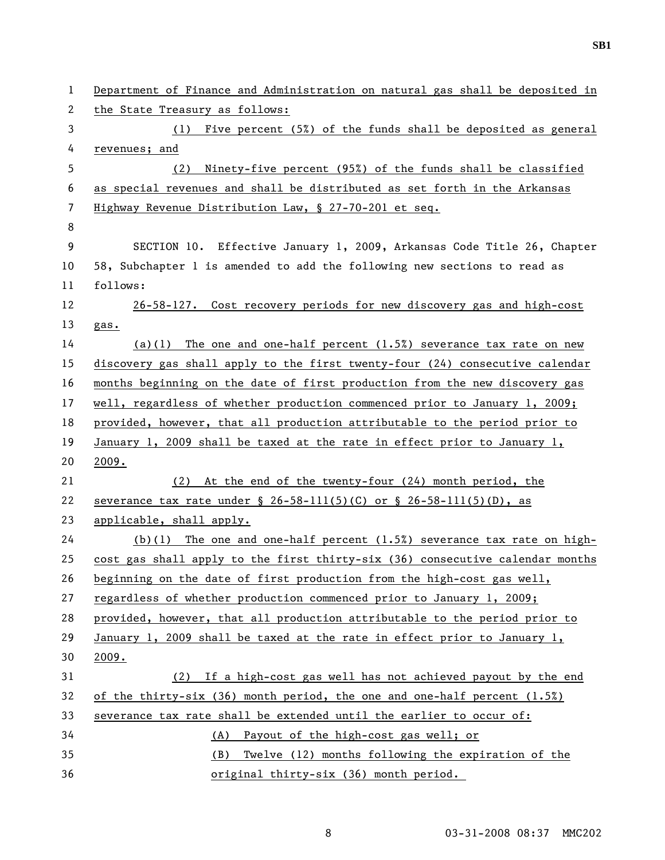1 Department of Finance and Administration on natural gas shall be deposited in 2 the State Treasury as follows: 3 (1) Five percent (5%) of the funds shall be deposited as general 4 revenues; and 5 (2) Ninety-five percent (95%) of the funds shall be classified 6 as special revenues and shall be distributed as set forth in the Arkansas 7 Highway Revenue Distribution Law, § 27-70-201 et seq. 8 9 SECTION 10. Effective January 1, 2009, Arkansas Code Title 26, Chapter 10 58, Subchapter 1 is amended to add the following new sections to read as 11 follows: 12 26-58-127. Cost recovery periods for new discovery gas and high-cost 13 gas. 14 (a)(1) The one and one-half percent (1.5%) severance tax rate on new 15 discovery gas shall apply to the first twenty-four (24) consecutive calendar 16 months beginning on the date of first production from the new discovery gas 17 well, regardless of whether production commenced prior to January 1, 2009; 18 provided, however, that all production attributable to the period prior to 19 January 1, 2009 shall be taxed at the rate in effect prior to January 1, 20 2009. 21 (2) At the end of the twenty-four (24) month period, the 22 severance tax rate under  $\S$  26-58-111(5)(C) or  $\S$  26-58-111(5)(D), as 23 applicable, shall apply. 24 (b)(1) The one and one-half percent (1.5%) severance tax rate on high-25 cost gas shall apply to the first thirty-six (36) consecutive calendar months 26 beginning on the date of first production from the high-cost gas well, 27 regardless of whether production commenced prior to January 1, 2009; 28 provided, however, that all production attributable to the period prior to 29 January 1, 2009 shall be taxed at the rate in effect prior to January 1, 30 2009. 31 (2) If a high-cost gas well has not achieved payout by the end 32 of the thirty-six (36) month period, the one and one-half percent (1.5%) 33 severance tax rate shall be extended until the earlier to occur of: 34 (A) Payout of the high-cost gas well; or 35 (B) Twelve (12) months following the expiration of the 36 original thirty-six (36) month period.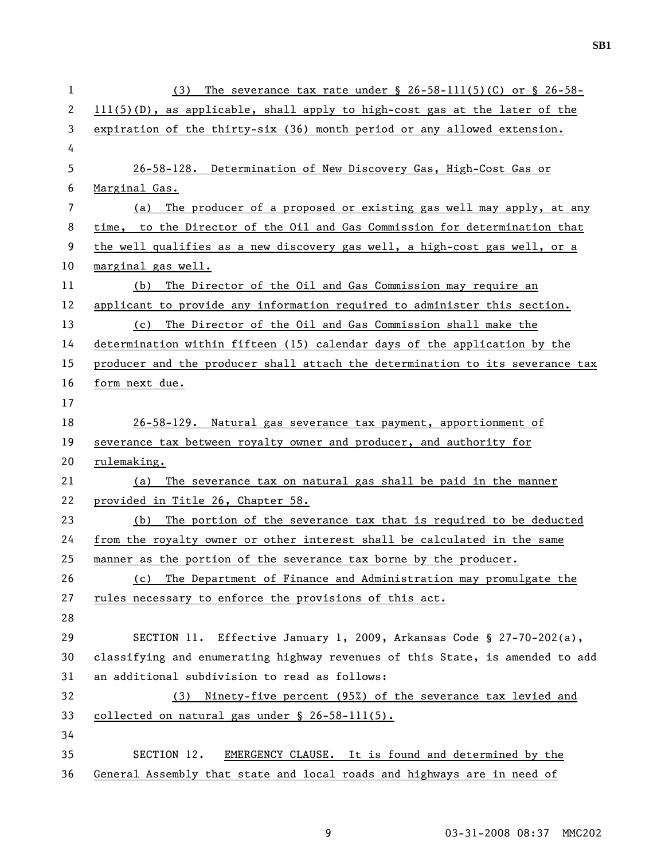| $\mathbf 1$ | The severance tax rate under $\S$ 26-58-111(5)(C) or $\S$ 26-58-<br>(3)       |
|-------------|-------------------------------------------------------------------------------|
| 2           | $111(5)(D)$ , as applicable, shall apply to high-cost gas at the later of the |
| 3           | expiration of the thirty-six (36) month period or any allowed extension.      |
| 4           |                                                                               |
| 5           | 26-58-128. Determination of New Discovery Gas, High-Cost Gas or               |
| 6           | Marginal Gas.                                                                 |
| 7           | The producer of a proposed or existing gas well may apply, at any<br>(a)      |
| 8           | time, to the Director of the Oil and Gas Commission for determination that    |
| 9           | the well qualifies as a new discovery gas well, a high-cost gas well, or a    |
| 10          | marginal gas well.                                                            |
| 11          | (b) The Director of the Oil and Gas Commission may require an                 |
| 12          | applicant to provide any information required to administer this section.     |
| 13          | The Director of the Oil and Gas Commission shall make the<br>(c)              |
| 14          | determination within fifteen (15) calendar days of the application by the     |
| 15          | producer and the producer shall attach the determination to its severance tax |
| 16          | form next due.                                                                |
| 17          |                                                                               |
| 18          | 26-58-129. Natural gas severance tax payment, apportionment of                |
| 19          | severance tax between royalty owner and producer, and authority for           |
| 20          | rulemaking.                                                                   |
| 21          | (a) The severance tax on natural gas shall be paid in the manner              |
| 22          | provided in Title 26, Chapter 58.                                             |
| 23          | (b) The portion of the severance tax that is required to be deducted          |
| 24          | from the royalty owner or other interest shall be calculated in the same      |
| 25          | manner as the portion of the severance tax borne by the producer.             |
| 26          | The Department of Finance and Administration may promulgate the<br>(c)        |
| 27          | rules necessary to enforce the provisions of this act.                        |
| 28          |                                                                               |
| 29          | SECTION 11. Effective January 1, 2009, Arkansas Code § 27-70-202(a),          |
| 30          | classifying and enumerating highway revenues of this State, is amended to add |
| 31          | an additional subdivision to read as follows:                                 |
| 32          | Ninety-five percent (95%) of the severance tax levied and<br>(3)              |
| 33          | collected on natural gas under § 26-58-111(5).                                |
| 34          |                                                                               |
| 35          | SECTION 12.<br>EMERGENCY CLAUSE. It is found and determined by the            |
| 36          | General Assembly that state and local roads and highways are in need of       |